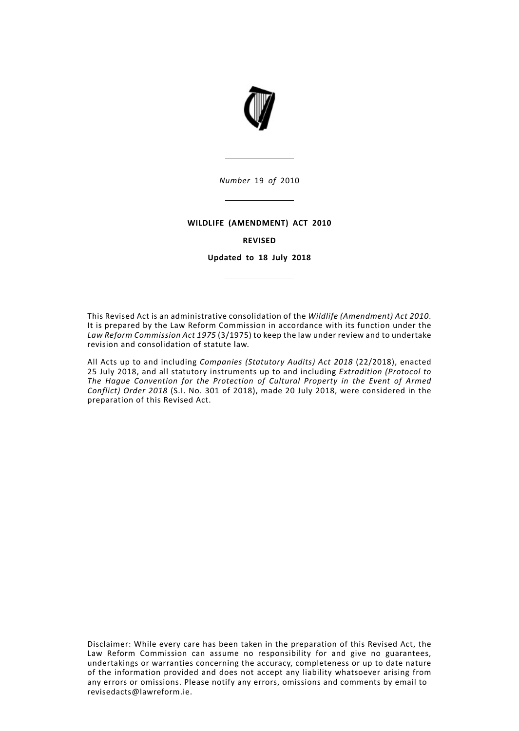

*Number* 19 *of* 2010

#### **WILDLIFE (AMENDMENT) ACT 2010**

#### **REVISED**

**Updated to 18 July 2018**

This Revised Act is an administrative consolidation of the *Wildlife (Amendment) Act 2010*. It is prepared by the Law Reform Commission in accordance with its function under the *Law Reform Commission Act 1975* (3/1975) to keep the law under review and to undertake revision and consolidation of statute law.

All Acts up to and including *Companies (Statutory Audits) Act 2018* (22/2018), enacted 25 July 2018, and all statutory instruments up to and including *Extradition (Protocol to The Hague Convention for the Protection of Cultural Property in the Event of Armed Conflict) Order 2018* (S.I. No. 301 of 2018), made 20 July 2018, were considered in the preparation of this Revised Act.

Disclaimer: While every care has been taken in the preparation of this Revised Act, the Law Reform Commission can assume no responsibility for and give no guarantees, undertakings or warranties concerning the accuracy, completeness or up to date nature of the information provided and does not accept any liability whatsoever arising from any errors or omissions. Please notify any errors, omissions and comments by email to revisedacts@lawreform.ie.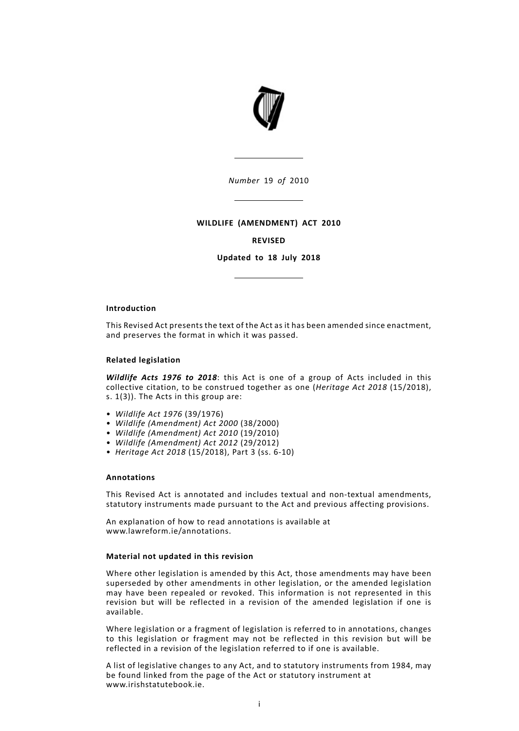

*Number* 19 *of* 2010

### **WILDLIFE (AMENDMENT) ACT 2010**

### **REVISED**

**Updated to 18 July 2018**

### **Introduction**

This Revised Act presents the text of the Act as it has been amended since enactment, and preserves the format in which it was passed.

### **Related legislation**

*Wildlife Acts 1976 to 2018*: this Act is one of a group of Acts included in this collective citation, to be construed together as one (*Heritage Act 2018* (15/2018), s. 1(3)). The Acts in this group are:

- *Wildlife Act 1976* (39/1976)
- *Wildlife (Amendment) Act 2000* (38/2000)
- *Wildlife (Amendment) Act 2010* (19/2010)
- *Wildlife (Amendment) Act 2012* (29/2012)
- *Heritage Act 2018* (15/2018), Part 3 (ss. 6-10)

### **Annotations**

This Revised Act is annotated and includes textual and non-textual amendments, statutory instruments made pursuant to the Act and previous affecting provisions.

An explanation of how to read annotations is available at www.lawreform.ie/annotations.

### **Material not updated in this revision**

Where other legislation is amended by this Act, those amendments may have been superseded by other amendments in other legislation, or the amended legislation may have been repealed or revoked. This information is not represented in this revision but will be reflected in a revision of the amended legislation if one is available.

Where legislation or a fragment of legislation is referred to in annotations, changes to this legislation or fragment may not be reflected in this revision but will be reflected in a revision of the legislation referred to if one is available.

A list of legislative changes to any Act, and to statutory instruments from 1984, may be found linked from the page of the Act or statutory instrument at www.irishstatutebook.ie.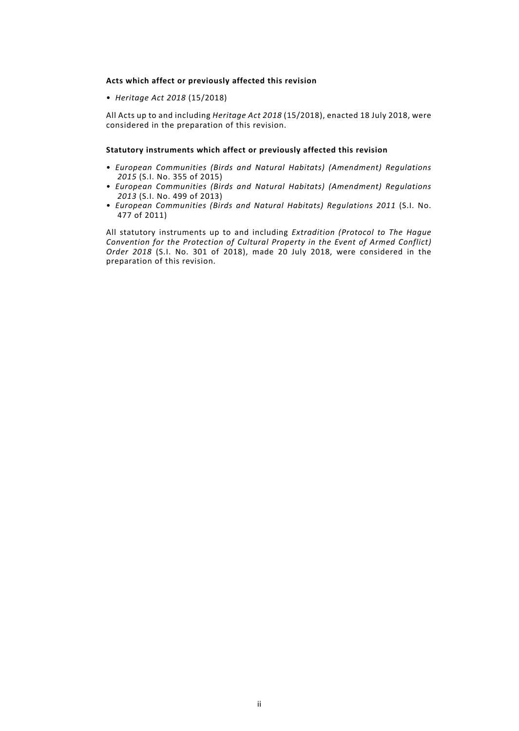### **Acts which affect or previously affected this revision**

• *Heritage Act 2018* (15/2018)

All Acts up to and including *Heritage Act 2018* (15/2018), enacted 18 July 2018, were considered in the preparation of this revision.

### **Statutory instruments which affect or previously affected this revision**

- *European Communities (Birds and Natural Habitats) (Amendment) Regulations 2015* (S.I. No. 355 of 2015)
- *European Communities (Birds and Natural Habitats) (Amendment) Regulations 2013* (S.I. No. 499 of 2013)
- *European Communities (Birds and Natural Habitats) Regulations 2011* (S.I. No. 477 of 2011)

All statutory instruments up to and including *Extradition (Protocol to The Hague Convention for the Protection of Cultural Property in the Event of Armed Conflict) Order 2018* (S.I. No. 301 of 2018), made 20 July 2018, were considered in the preparation of this revision.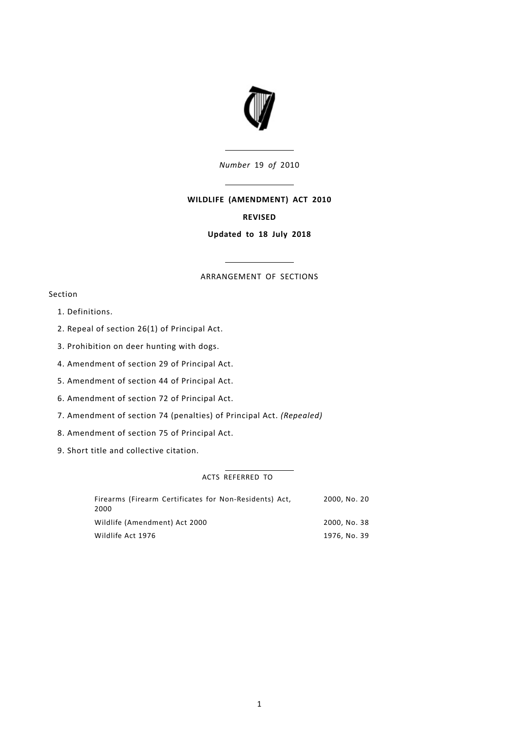

*Number* 19 *of* 2010

# **WILDLIFE (AMENDMENT) ACT 2010**

# **REVISED**

## **Updated to 18 July 2018**

## ARRANGEMENT OF SECTIONS

# Section

- 1. [Definitions.](#page-6-0)
- 2. Repeal of section 26(1) of [Principal](#page-6-1) Act.
- 3. [Prohibition](#page-6-2) on deer hunting with dogs.
- 4. [Amendment](#page-6-3) of section 29 of Principal Act.
- 5. [Amendment](#page-7-0) of section 44 of Principal Act.
- 6. [Amendment](#page-7-1) of section 72 of Principal Act.
- 7. [Amendment](#page-7-2) of section 74 (penalties) of Principal Act. *(Repealed)*
- 8. [Amendment](#page-7-3) of section 75 of Principal Act.
- 9. Short title and [collective](#page-7-4) citation.

# ACTS REFERRED TO

| Firearms (Firearm Certificates for Non-Residents) Act,<br>2000 | 2000. No. 20 |
|----------------------------------------------------------------|--------------|
| Wildlife (Amendment) Act 2000                                  | 2000. No. 38 |
| Wildlife Act 1976                                              | 1976, No. 39 |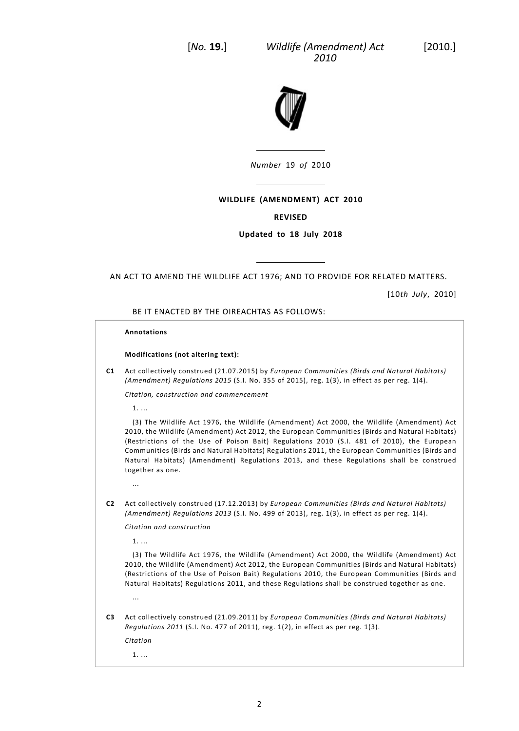*Wildlife (Amendment) Act* [2010.] *2010*



*Number* 19 *of* 2010

# **WILDLIFE (AMENDMENT) ACT 2010**

## **REVISED**

## **Updated to 18 July 2018**

AN ACT TO AMEND THE WILDLIFE ACT 1976; AND TO PROVIDE FOR RELATED MATTERS.

[10*th July*, 2010]

BE IT ENACTED BY THE OIREACHTAS AS FOLLOWS:

### **Annotations**

### **Modifications (not altering text):**

**C1** Act collectively construed (21.07.2015) by *European Communities (Birds and Natural Habitats) (Amendment) Regulations 2015* (S.I. No. 355 of 2015), reg. 1(3), in effect as per reg. 1(4).

*Citation, construction and commencement*

1. ...

(3) The Wildlife Act 1976, the Wildlife (Amendment) Act 2000, the Wildlife (Amendment) Act 2010, the Wildlife (Amendment) Act 2012, the European Communities (Birds and Natural Habitats) (Restrictions of the Use of Poison Bait) Regulations 2010 (S.I. 481 of 2010), the European Communities (Birds and Natural Habitats) Regulations 2011, the European Communities (Birds and Natural Habitats) (Amendment) Regulations 2013, and these Regulations shall be construed together as one.

**C2** Act collectively construed (17.12.2013) by *European Communities (Birds and Natural Habitats) (Amendment) Regulations 2013* (S.I. No. 499 of 2013), reg. 1(3), in effect as per reg. 1(4).

*Citation and construction*

1. ...

...

(3) The Wildlife Act 1976, the Wildlife (Amendment) Act 2000, the Wildlife (Amendment) Act 2010, the Wildlife (Amendment) Act 2012, the European Communities (Birds and Natural Habitats) (Restrictions of the Use of Poison Bait) Regulations 2010, the European Communities (Birds and Natural Habitats) Regulations 2011, and these Regulations shall be construed together as one.

**C3** Act collectively construed (21.09.2011) by *European Communities (Birds and Natural Habitats) Regulations 2011* (S.I. No. 477 of 2011), reg. 1(2), in effect as per reg. 1(3).

*Citation*

...

1. ...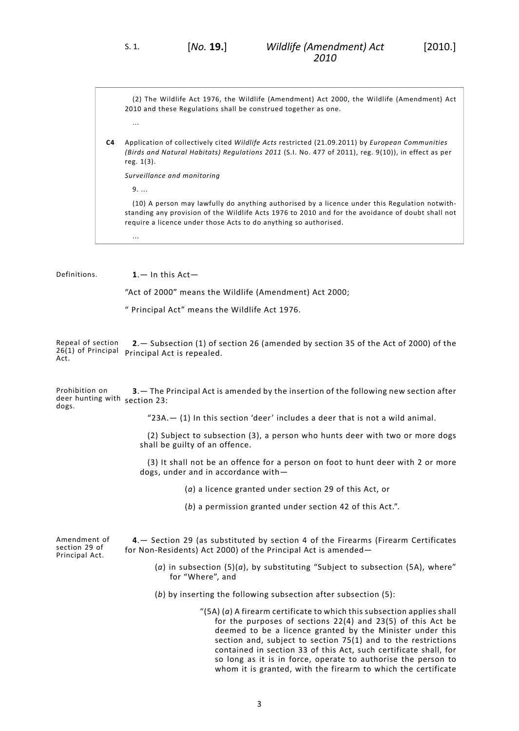(2) The Wildlife Act 1976, the Wildlife (Amendment) Act 2000, the Wildlife (Amendment) Act 2010 and these Regulations shall be construed together as one.

**C4** Application of collectively cited *Wildlife Acts* restricted (21.09.2011) by *European Communities (Birds and Natural Habitats) Regulations 2011* (S.I. No. 477 of 2011), reg. 9(10)), in effect as per reg. 1(3).

*Surveillance and monitoring*

9. ...

<span id="page-6-0"></span>...

...

(10) A person may lawfully do anything authorised by a licence under this Regulation notwithstanding any provision of the Wildlife Acts 1976 to 2010 and for the avoidance of doubt shall not require a licence under those Acts to do anything so authorised.

Definitions. **1**.— In this Act—

<span id="page-6-1"></span>"Act of 2000" means the Wildlife (Amendment) Act 2000;

<span id="page-6-2"></span>" Principal Act" means the Wildlife Act 1976.

Repeal of section 26(1) of Principal Principal Act is repealed. Act. **2**.— Subsection (1) of section 26 (amended by section 35 of the Act of 2000) of the

Prohibition on deer hunting with section 23: dogs. **3**.— The Principal Act is amended by the insertion of the following new section after

"23A.— (1) In this section 'deer' includes a deer that is not a wild animal.

(2) Subject to subsection (3), a person who hunts deer with two or more dogs shall be guilty of an offence.

<span id="page-6-3"></span>(3) It shall not be an offence for a person on foot to hunt deer with 2 or more dogs, under and in accordance with—

(*a*) a licence granted under section 29 of this Act, or

(*b*) a permission granted under section 42 of this Act.".

Amendment of section 29 of Principal Act.

**4**.— Section 29 (as substituted by section 4 of the Firearms (Firearm Certificates for Non-Residents) Act 2000) of the Principal Act is amended—

- (*a*) in subsection (5)(*a*), by substituting "Subject to subsection (5A), where" for "Where", and
- (*b*) by inserting the following subsection after subsection (5):

"(5A) (*a*) A firearm certificate to which this subsection applies shall for the purposes of sections 22(4) and 23(5) of this Act be deemed to be a licence granted by the Minister under this section and, subject to section 75(1) and to the restrictions contained in section 33 of this Act, such certificate shall, for so long as it is in force, operate to authorise the person to whom it is granted, with the firearm to which the certificate